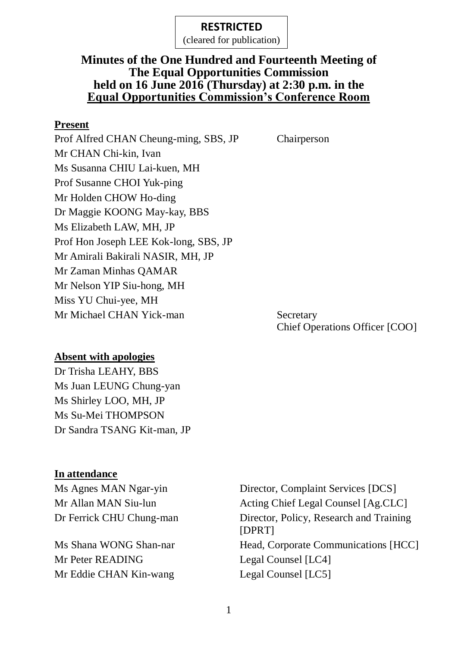(cleared for publication)

## **Minutes of the One Hundred and Fourteenth Meeting of The Equal Opportunities Commission held on 16 June 2016 (Thursday) at 2:30 p.m. in the Equal Opportunities Commission's Conference Room**

#### **Present**

Prof Alfred CHAN Cheung-ming, SBS, JP Chairperson Mr CHAN Chi-kin, Ivan Ms Susanna CHIU Lai-kuen, MH Prof Susanne CHOI Yuk-ping Mr Holden CHOW Ho-ding Dr Maggie KOONG May-kay, BBS Ms Elizabeth LAW, MH, JP Prof Hon Joseph LEE Kok-long, SBS, JP Mr Amirali Bakirali NASIR, MH, JP Mr Zaman Minhas QAMAR Mr Nelson YIP Siu-hong, MH Miss YU Chui-yee, MH Mr Michael CHAN Yick-man Secretary

Chief Operations Officer [COO]

### **Absent with apologies**

Dr Trisha LEAHY, BBS Ms Juan LEUNG Chung-yan Ms Shirley LOO, MH, JP Ms Su-Mei THOMPSON Dr Sandra TSANG Kit-man, JP

### **In attendance**

Mr Peter READING Legal Counsel [LC4] Mr Eddie CHAN Kin-wang Legal Counsel [LC5]

Ms Agnes MAN Ngar-yin Director, Complaint Services [DCS] Mr Allan MAN Siu-lun Acting Chief Legal Counsel [Ag.CLC] Dr Ferrick CHU Chung-man Director, Policy, Research and Training [DPRT] Ms Shana WONG Shan-nar Head, Corporate Communications [HCC]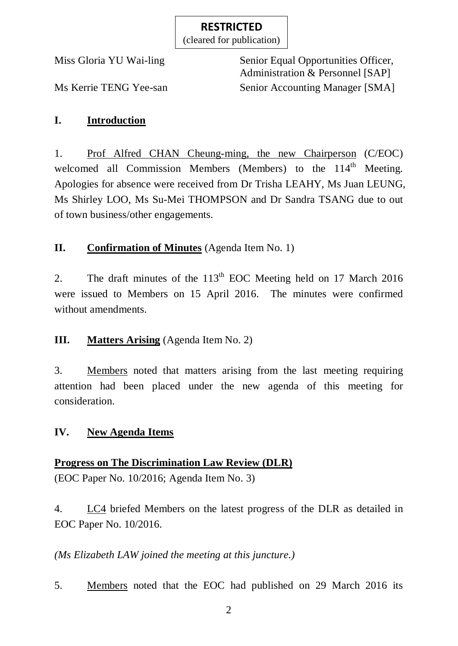(cleared for publication)

Miss Gloria YU Wai-ling Senior Equal Opportunities Officer, Administration & Personnel [SAP] Ms Kerrie TENG Yee-san Senior Accounting Manager [SMA]

## **I. Introduction**

1. Prof Alfred CHAN Cheung-ming, the new Chairperson (C/EOC) welcomed all Commission Members (Members) to the 114<sup>th</sup> Meeting. Apologies for absence were received from Dr Trisha LEAHY, Ms Juan LEUNG, Ms Shirley LOO, Ms Su-Mei THOMPSON and Dr Sandra TSANG due to out of town business/other engagements.

## **II. Confirmation of Minutes** (Agenda Item No. 1)

2. The draft minutes of the  $113<sup>th</sup>$  EOC Meeting held on 17 March 2016 were issued to Members on 15 April 2016. The minutes were confirmed without amendments.

## **III. Matters Arising** (Agenda Item No. 2)

3. Members noted that matters arising from the last meeting requiring attention had been placed under the new agenda of this meeting for consideration.

### **IV. New Agenda Items**

### **Progress on The Discrimination Law Review (DLR)**

(EOC Paper No. 10/2016; Agenda Item No. 3)

4. LC4 briefed Members on the latest progress of the DLR as detailed in EOC Paper No. 10/2016.

*(Ms Elizabeth LAW joined the meeting at this juncture.)*

5. Members noted that the EOC had published on 29 March 2016 its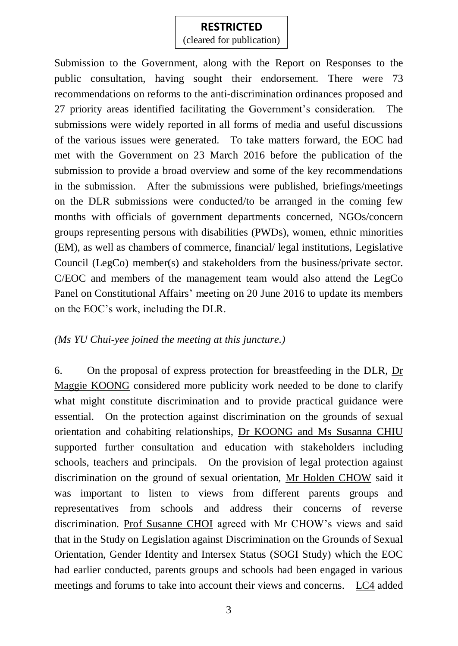(cleared for publication)

Submission to the Government, along with the Report on Responses to the public consultation, having sought their endorsement. There were 73 recommendations on reforms to the anti-discrimination ordinances proposed and 27 priority areas identified facilitating the Government's consideration. The submissions were widely reported in all forms of media and useful discussions of the various issues were generated. To take matters forward, the EOC had met with the Government on 23 March 2016 before the publication of the submission to provide a broad overview and some of the key recommendations in the submission. After the submissions were published, briefings/meetings on the DLR submissions were conducted/to be arranged in the coming few months with officials of government departments concerned, NGOs/concern groups representing persons with disabilities (PWDs), women, ethnic minorities (EM), as well as chambers of commerce, financial/ legal institutions, Legislative Council (LegCo) member(s) and stakeholders from the business/private sector. C/EOC and members of the management team would also attend the LegCo Panel on Constitutional Affairs' meeting on 20 June 2016 to update its members on the EOC's work, including the DLR.

#### *(Ms YU Chui-yee joined the meeting at this juncture.)*

6. On the proposal of express protection for breastfeeding in the DLR, Dr Maggie KOONG considered more publicity work needed to be done to clarify what might constitute discrimination and to provide practical guidance were essential. On the protection against discrimination on the grounds of sexual orientation and cohabiting relationships, Dr KOONG and Ms Susanna CHIU supported further consultation and education with stakeholders including schools, teachers and principals. On the provision of legal protection against discrimination on the ground of sexual orientation, Mr Holden CHOW said it was important to listen to views from different parents groups and representatives from schools and address their concerns of reverse discrimination. Prof Susanne CHOI agreed with Mr CHOW's views and said that in the Study on Legislation against Discrimination on the Grounds of Sexual Orientation, Gender Identity and Intersex Status (SOGI Study) which the EOC had earlier conducted, parents groups and schools had been engaged in various meetings and forums to take into account their views and concerns. LC4 added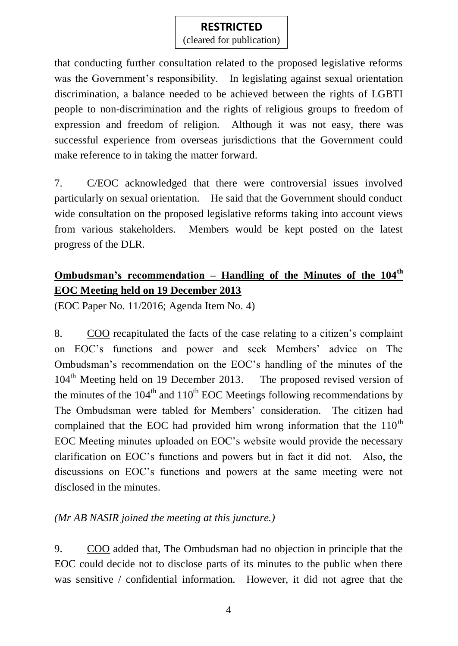(cleared for publication)

that conducting further consultation related to the proposed legislative reforms was the Government's responsibility. In legislating against sexual orientation discrimination, a balance needed to be achieved between the rights of LGBTI people to non-discrimination and the rights of religious groups to freedom of expression and freedom of religion. Although it was not easy, there was successful experience from overseas jurisdictions that the Government could make reference to in taking the matter forward.

7. C/EOC acknowledged that there were controversial issues involved particularly on sexual orientation. He said that the Government should conduct wide consultation on the proposed legislative reforms taking into account views from various stakeholders. Members would be kept posted on the latest progress of the DLR.

# **Ombudsman's recommendation – Handling of the Minutes of the 104th EOC Meeting held on 19 December 2013**

(EOC Paper No. 11/2016; Agenda Item No. 4)

8. COO recapitulated the facts of the case relating to a citizen's complaint on EOC's functions and power and seek Members' advice on The Ombudsman's recommendation on the EOC's handling of the minutes of the 104<sup>th</sup> Meeting held on 19 December 2013. The proposed revised version of the minutes of the  $104<sup>th</sup>$  and  $110<sup>th</sup>$  EOC Meetings following recommendations by The Ombudsman were tabled for Members' consideration. The citizen had complained that the EOC had provided him wrong information that the  $110<sup>th</sup>$ EOC Meeting minutes uploaded on EOC's website would provide the necessary clarification on EOC's functions and powers but in fact it did not. Also, the discussions on EOC's functions and powers at the same meeting were not disclosed in the minutes.

### *(Mr AB NASIR joined the meeting at this juncture.)*

9. COO added that, The Ombudsman had no objection in principle that the EOC could decide not to disclose parts of its minutes to the public when there was sensitive / confidential information. However, it did not agree that the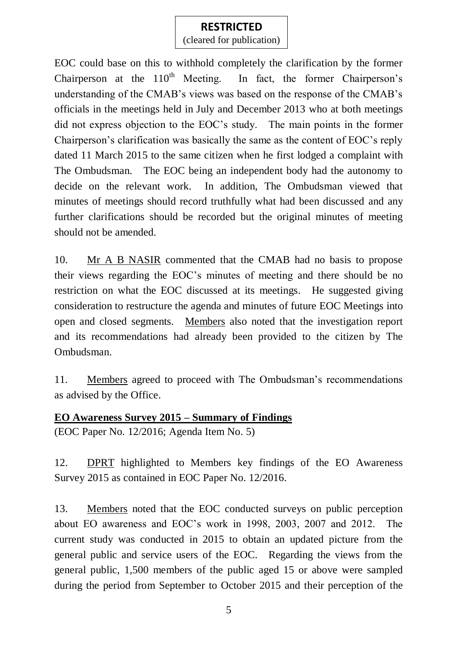(cleared for publication)

EOC could base on this to withhold completely the clarification by the former Chairperson at the  $110^{th}$  Meeting. In fact, the former Chairperson's understanding of the CMAB's views was based on the response of the CMAB's officials in the meetings held in July and December 2013 who at both meetings did not express objection to the EOC's study. The main points in the former Chairperson's clarification was basically the same as the content of EOC's reply dated 11 March 2015 to the same citizen when he first lodged a complaint with The Ombudsman. The EOC being an independent body had the autonomy to decide on the relevant work. In addition, The Ombudsman viewed that minutes of meetings should record truthfully what had been discussed and any further clarifications should be recorded but the original minutes of meeting should not be amended.

10. Mr A B NASIR commented that the CMAB had no basis to propose their views regarding the EOC's minutes of meeting and there should be no restriction on what the EOC discussed at its meetings. He suggested giving consideration to restructure the agenda and minutes of future EOC Meetings into open and closed segments. Members also noted that the investigation report and its recommendations had already been provided to the citizen by The Ombudsman.

11. Members agreed to proceed with The Ombudsman's recommendations as advised by the Office.

### **EO Awareness Survey 2015 – Summary of Findings**

(EOC Paper No. 12/2016; Agenda Item No. 5)

12. DPRT highlighted to Members key findings of the EO Awareness Survey 2015 as contained in EOC Paper No. 12/2016.

13. Members noted that the EOC conducted surveys on public perception about EO awareness and EOC's work in 1998, 2003, 2007 and 2012. The current study was conducted in 2015 to obtain an updated picture from the general public and service users of the EOC. Regarding the views from the general public, 1,500 members of the public aged 15 or above were sampled during the period from September to October 2015 and their perception of the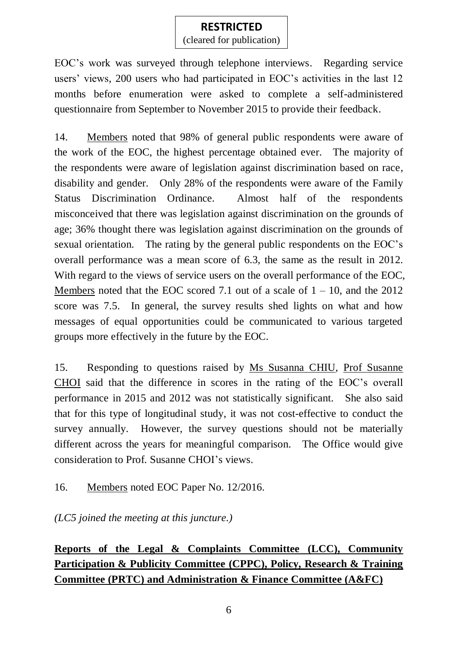(cleared for publication)

EOC's work was surveyed through telephone interviews. Regarding service users' views, 200 users who had participated in EOC's activities in the last 12 months before enumeration were asked to complete a self-administered questionnaire from September to November 2015 to provide their feedback.

14. Members noted that 98% of general public respondents were aware of the work of the EOC, the highest percentage obtained ever. The majority of the respondents were aware of legislation against discrimination based on race, disability and gender. Only 28% of the respondents were aware of the Family Status Discrimination Ordinance. Almost half of the respondents misconceived that there was legislation against discrimination on the grounds of age; 36% thought there was legislation against discrimination on the grounds of sexual orientation. The rating by the general public respondents on the EOC's overall performance was a mean score of 6.3, the same as the result in 2012. With regard to the views of service users on the overall performance of the EOC, Members noted that the EOC scored 7.1 out of a scale of  $1 - 10$ , and the 2012 score was 7.5. In general, the survey results shed lights on what and how messages of equal opportunities could be communicated to various targeted groups more effectively in the future by the EOC.

15. Responding to questions raised by Ms Susanna CHIU, Prof Susanne CHOI said that the difference in scores in the rating of the EOC's overall performance in 2015 and 2012 was not statistically significant. She also said that for this type of longitudinal study, it was not cost-effective to conduct the survey annually. However, the survey questions should not be materially different across the years for meaningful comparison. The Office would give consideration to Prof. Susanne CHOI's views.

16. Members noted EOC Paper No. 12/2016.

*(LC5 joined the meeting at this juncture.)*

**Reports of the Legal & Complaints Committee (LCC), Community Participation & Publicity Committee (CPPC), Policy, Research & Training Committee (PRTC) and Administration & Finance Committee (A&FC)**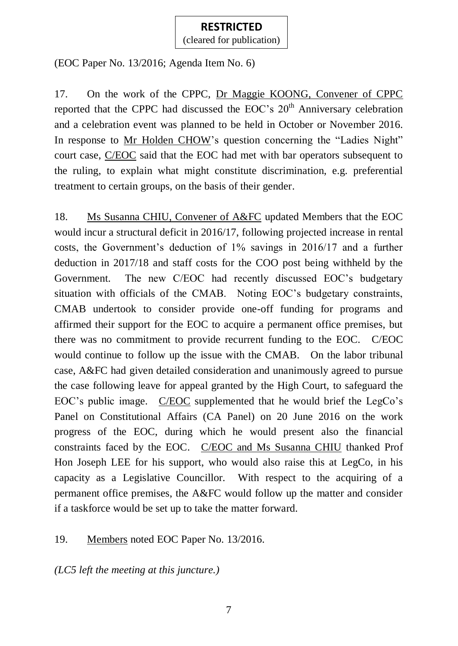(cleared for publication)

(EOC Paper No. 13/2016; Agenda Item No. 6)

17. On the work of the CPPC, Dr Maggie KOONG, Convener of CPPC reported that the CPPC had discussed the EOC's  $20<sup>th</sup>$  Anniversary celebration and a celebration event was planned to be held in October or November 2016. In response to Mr Holden CHOW's question concerning the "Ladies Night" court case, C/EOC said that the EOC had met with bar operators subsequent to the ruling, to explain what might constitute discrimination, e.g. preferential treatment to certain groups, on the basis of their gender.

18. Ms Susanna CHIU, Convener of A&FC updated Members that the EOC would incur a structural deficit in 2016/17, following projected increase in rental costs, the Government's deduction of 1% savings in 2016/17 and a further deduction in 2017/18 and staff costs for the COO post being withheld by the Government. The new C/EOC had recently discussed EOC's budgetary situation with officials of the CMAB. Noting EOC's budgetary constraints, CMAB undertook to consider provide one-off funding for programs and affirmed their support for the EOC to acquire a permanent office premises, but there was no commitment to provide recurrent funding to the EOC. C/EOC would continue to follow up the issue with the CMAB. On the labor tribunal case, A&FC had given detailed consideration and unanimously agreed to pursue the case following leave for appeal granted by the High Court, to safeguard the EOC's public image. C/EOC supplemented that he would brief the LegCo's Panel on Constitutional Affairs (CA Panel) on 20 June 2016 on the work progress of the EOC, during which he would present also the financial constraints faced by the EOC. C/EOC and Ms Susanna CHIU thanked Prof Hon Joseph LEE for his support, who would also raise this at LegCo, in his capacity as a Legislative Councillor. With respect to the acquiring of a permanent office premises, the A&FC would follow up the matter and consider if a taskforce would be set up to take the matter forward.

## 19. Members noted EOC Paper No. 13/2016.

*(LC5 left the meeting at this juncture.)*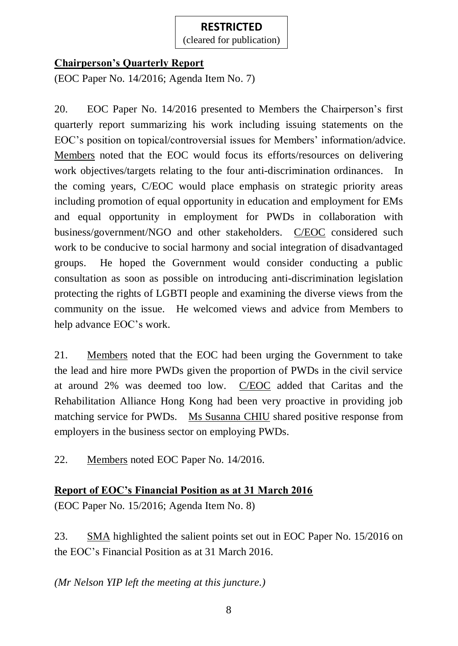(cleared for publication)

## **Chairperson's Quarterly Report**

(EOC Paper No. 14/2016; Agenda Item No. 7)

20. EOC Paper No. 14/2016 presented to Members the Chairperson's first quarterly report summarizing his work including issuing statements on the EOC's position on topical/controversial issues for Members' information/advice. Members noted that the EOC would focus its efforts/resources on delivering work objectives/targets relating to the four anti-discrimination ordinances. In the coming years, C/EOC would place emphasis on strategic priority areas including promotion of equal opportunity in education and employment for EMs and equal opportunity in employment for PWDs in collaboration with business/government/NGO and other stakeholders. C/EOC considered such work to be conducive to social harmony and social integration of disadvantaged groups. He hoped the Government would consider conducting a public consultation as soon as possible on introducing anti-discrimination legislation protecting the rights of LGBTI people and examining the diverse views from the community on the issue. He welcomed views and advice from Members to help advance EOC's work.

21. Members noted that the EOC had been urging the Government to take the lead and hire more PWDs given the proportion of PWDs in the civil service at around 2% was deemed too low. C/EOC added that Caritas and the Rehabilitation Alliance Hong Kong had been very proactive in providing job matching service for PWDs. Ms Susanna CHIU shared positive response from employers in the business sector on employing PWDs.

22. Members noted EOC Paper No. 14/2016.

### **Report of EOC's Financial Position as at 31 March 2016**

(EOC Paper No. 15/2016; Agenda Item No. 8)

23. SMA highlighted the salient points set out in EOC Paper No. 15/2016 on the EOC's Financial Position as at 31 March 2016.

*(Mr Nelson YIP left the meeting at this juncture.)*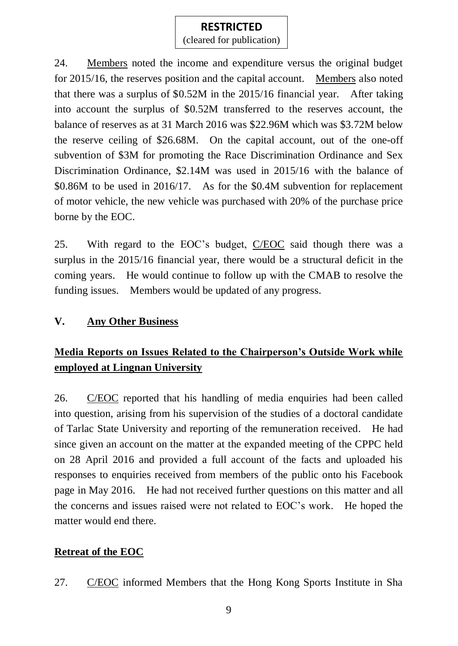(cleared for publication)

24. Members noted the income and expenditure versus the original budget for 2015/16, the reserves position and the capital account. Members also noted that there was a surplus of \$0.52M in the 2015/16 financial year. After taking into account the surplus of \$0.52M transferred to the reserves account, the balance of reserves as at 31 March 2016 was \$22.96M which was \$3.72M below the reserve ceiling of \$26.68M. On the capital account, out of the one-off subvention of \$3M for promoting the Race Discrimination Ordinance and Sex Discrimination Ordinance, \$2.14M was used in 2015/16 with the balance of \$0.86M to be used in 2016/17. As for the \$0.4M subvention for replacement of motor vehicle, the new vehicle was purchased with 20% of the purchase price borne by the EOC.

25. With regard to the EOC's budget, C/EOC said though there was a surplus in the 2015/16 financial year, there would be a structural deficit in the coming years. He would continue to follow up with the CMAB to resolve the funding issues. Members would be updated of any progress.

### **V. Any Other Business**

# **Media Reports on Issues Related to the Chairperson's Outside Work while employed at Lingnan University**

26. C/EOC reported that his handling of media enquiries had been called into question, arising from his supervision of the studies of a doctoral candidate of Tarlac State University and reporting of the remuneration received. He had since given an account on the matter at the expanded meeting of the CPPC held on 28 April 2016 and provided a full account of the facts and uploaded his responses to enquiries received from members of the public onto his Facebook page in May 2016. He had not received further questions on this matter and all the concerns and issues raised were not related to EOC's work. He hoped the matter would end there.

## **Retreat of the EOC**

27. C/EOC informed Members that the Hong Kong Sports Institute in Sha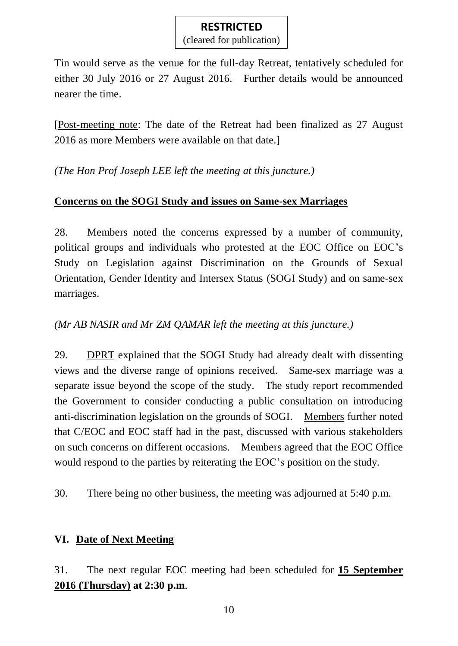(cleared for publication)

Tin would serve as the venue for the full-day Retreat, tentatively scheduled for either 30 July 2016 or 27 August 2016. Further details would be announced nearer the time.

[Post-meeting note: The date of the Retreat had been finalized as 27 August 2016 as more Members were available on that date.]

*(The Hon Prof Joseph LEE left the meeting at this juncture.)*

## **Concerns on the SOGI Study and issues on Same-sex Marriages**

28. Members noted the concerns expressed by a number of community, political groups and individuals who protested at the EOC Office on EOC's Study on Legislation against Discrimination on the Grounds of Sexual Orientation, Gender Identity and Intersex Status (SOGI Study) and on same-sex marriages.

## *(Mr AB NASIR and Mr ZM QAMAR left the meeting at this juncture.)*

29. DPRT explained that the SOGI Study had already dealt with dissenting views and the diverse range of opinions received. Same-sex marriage was a separate issue beyond the scope of the study. The study report recommended the Government to consider conducting a public consultation on introducing anti-discrimination legislation on the grounds of SOGI. Members further noted that C/EOC and EOC staff had in the past, discussed with various stakeholders on such concerns on different occasions. Members agreed that the EOC Office would respond to the parties by reiterating the EOC's position on the study.

30. There being no other business, the meeting was adjourned at 5:40 p.m.

### **VI. Date of Next Meeting**

31. The next regular EOC meeting had been scheduled for **15 September 2016 (Thursday) at 2:30 p.m**.